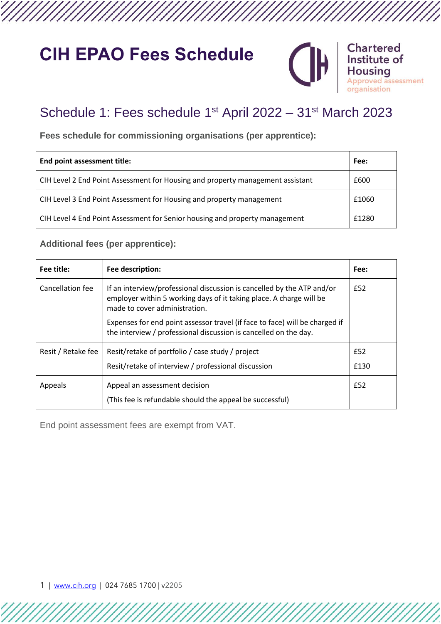# **CIH EPAO Fees Schedule**



#### **Chartered** Institute of using d assessment tion

## Schedule 1: Fees schedule 1<sup>st</sup> April 2022 – 31<sup>st</sup> March 2023

**Fees schedule for commissioning organisations (per apprentice):**

| End point assessment title:                                                    |       |
|--------------------------------------------------------------------------------|-------|
| CIH Level 2 End Point Assessment for Housing and property management assistant | £600  |
| CIH Level 3 End Point Assessment for Housing and property management           | £1060 |
| CIH Level 4 End Point Assessment for Senior housing and property management    | £1280 |

### **Additional fees (per apprentice):**

| Fee title:         | Fee description:                                                                                                                                                               | Fee: |
|--------------------|--------------------------------------------------------------------------------------------------------------------------------------------------------------------------------|------|
| Cancellation fee   | If an interview/professional discussion is cancelled by the ATP and/or<br>employer within 5 working days of it taking place. A charge will be<br>made to cover administration. |      |
|                    | Expenses for end point assessor travel (if face to face) will be charged if<br>the interview / professional discussion is cancelled on the day.                                |      |
| Resit / Retake fee | Resit/retake of portfolio / case study / project                                                                                                                               |      |
|                    | Resit/retake of interview / professional discussion                                                                                                                            | £130 |
| Appeals            | Appeal an assessment decision                                                                                                                                                  | £52  |
|                    | (This fee is refundable should the appeal be successful)                                                                                                                       |      |

End point assessment fees are exempt from VAT.